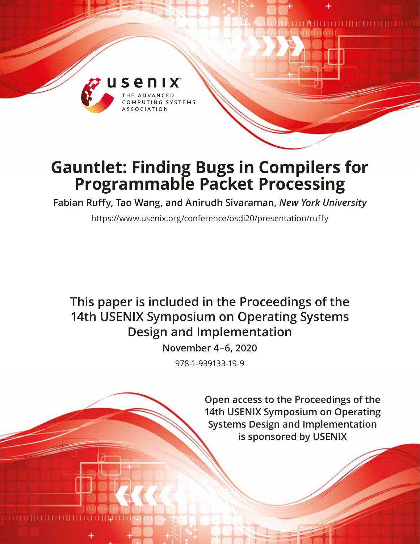

# **Gauntlet: Finding Bugs in Compilers for Programmable Packet Processing**

**Fabian Ruffy, Tao Wang, and Anirudh Sivaraman,** *New York University*

https://www.usenix.org/conference/osdi20/presentation/ruffy

# **This paper is included in the Proceedings of the 14th USENIX Symposium on Operating Systems Design and Implementation**

**November 4–6, 2020**

978-1-939133-19-9

**Open access to the Proceedings of the 14th USENIX Symposium on Operating Systems Design and Implementation is sponsored by USENIX**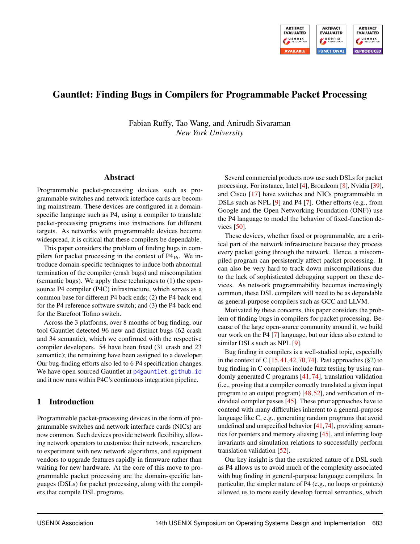

## Gauntlet: Finding Bugs in Compilers for Programmable Packet Processing

Fabian Ruffy, Tao Wang, and Anirudh Sivaraman *New York University*

#### Abstract

Programmable packet-processing devices such as programmable switches and network interface cards are becoming mainstream. These devices are configured in a domainspecific language such as P4, using a compiler to translate packet-processing programs into instructions for different targets. As networks with programmable devices become widespread, it is critical that these compilers be dependable.

This paper considers the problem of finding bugs in compilers for packet processing in the context of  $P4_{16}$ . We introduce domain-specific techniques to induce both abnormal termination of the compiler (crash bugs) and miscompilation (semantic bugs). We apply these techniques to (1) the opensource P4 compiler (P4C) infrastructure, which serves as a common base for different P4 back ends; (2) the P4 back end for the P4 reference software switch; and (3) the P4 back end for the Barefoot Tofino switch.

Across the 3 platforms, over 8 months of bug finding, our tool Gauntlet detected 96 new and distinct bugs (62 crash and 34 semantic), which we confirmed with the respective compiler developers. 54 have been fixed (31 crash and 23 semantic); the remaining have been assigned to a developer. Our bug-finding efforts also led to 6 P4 specification changes. We have open sourced Gauntlet at [p4gauntlet.github.io](https://p4gauntlet.github.io) and it now runs within P4C's continuous integration pipeline.

#### 1 Introduction

Programmable packet-processing devices in the form of programmable switches and network interface cards (NICs) are now common. Such devices provide network flexibility, allowing network operators to customize their network, researchers to experiment with new network algorithms, and equipment vendors to upgrade features rapidly in firmware rather than waiting for new hardware. At the core of this move to programmable packet processing are the domain-specific languages (DSLs) for packet processing, along with the compilers that compile DSL programs.

Several commercial products now use such DSLs for packet processing. For instance, Intel [\[4\]](#page-15-0), Broadcom [\[8\]](#page-15-1), Nvidia [\[39\]](#page-16-0), and Cisco [\[17\]](#page-15-2) have switches and NICs programmable in DSLs such as NPL [\[9\]](#page-15-3) and P4 [\[7\]](#page-15-4). Other efforts (e.g., from Google and the Open Networking Foundation (ONF)) use the P4 language to model the behavior of fixed-function devices [\[50\]](#page-16-1).

These devices, whether fixed or programmable, are a critical part of the network infrastructure because they process every packet going through the network. Hence, a miscompiled program can persistently affect packet processing. It can also be very hard to track down miscompilations due to the lack of sophisticated debugging support on these devices. As network programmability becomes increasingly common, these DSL compilers will need to be as dependable as general-purpose compilers such as GCC and LLVM.

Motivated by these concerns, this paper considers the problem of finding bugs in compilers for packet processing. Because of the large open-source community around it, we build our work on the P4 [\[7\]](#page-15-4) language, but our ideas also extend to similar DSLs such as NPL [\[9\]](#page-15-3).

Bug finding in compilers is a well-studied topic, especially in the context of C  $[15, 41, 42, 70, 74]$  $[15, 41, 42, 70, 74]$  $[15, 41, 42, 70, 74]$  $[15, 41, 42, 70, 74]$  $[15, 41, 42, 70, 74]$  $[15, 41, 42, 70, 74]$  $[15, 41, 42, 70, 74]$  $[15, 41, 42, 70, 74]$  $[15, 41, 42, 70, 74]$ . Past approaches  $(\S_2)$  to bug finding in C compilers include fuzz testing by using randomly generated C programs [\[41,](#page-16-2) [74\]](#page-17-1), translation validation (i.e., proving that a compiler correctly translated a given input program to an output program) [\[48,](#page-16-4)[52\]](#page-16-5), and verification of individual compiler passes [\[45\]](#page-16-6). These prior approaches have to contend with many difficulties inherent to a general-purpose language like C, e.g., generating random programs that avoid undefined and unspecified behavior [\[41,](#page-16-2)[74\]](#page-17-1), providing semantics for pointers and memory aliasing [\[45\]](#page-16-6), and inferring loop invariants and simulation relations to successfully perform translation validation [\[52\]](#page-16-5).

Our key insight is that the restricted nature of a DSL such as P4 allows us to avoid much of the complexity associated with bug finding in general-purpose language compilers. In particular, the simpler nature of P4 (e.g., no loops or pointers) allowed us to more easily develop formal semantics, which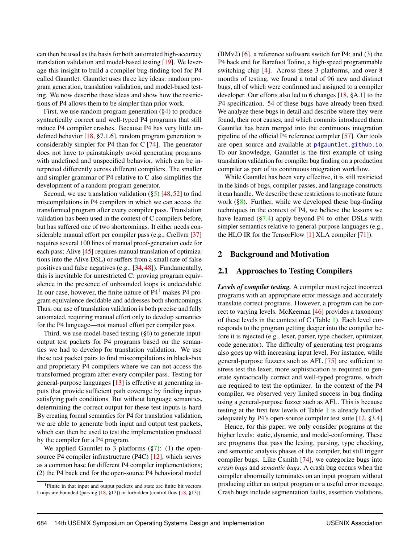can then be used as the basis for both automated high-accuracy translation validation and model-based testing [\[19\]](#page-15-6). We leverage this insight to build a compiler bug-finding tool for P4 called Gauntlet. Gauntlet uses three key ideas: random program generation, translation validation, and model-based testing. We now describe these ideas and show how the restrictions of P4 allows them to be simpler than prior work.

First, we use random program generation ([§4\)](#page-5-0) to produce syntactically correct and well-typed P4 programs that still induce P4 compiler crashes. Because P4 has very little undefined behavior [\[18,](#page-15-7) §7.1.6], random program generation is considerably simpler for P4 than for C [\[74\]](#page-17-1). The generator does not have to painstakingly avoid generating programs with undefined and unspecified behavior, which can be interpreted differently across different compilers. The smaller and simpler grammar of P4 relative to C also simplifies the development of a random program generator.

Second, we use translation validation ([§5\)](#page-6-0) [\[48,](#page-16-4) [52\]](#page-16-5) to find miscompilations in P4 compilers in which we can access the transformed program after every compiler pass. Translation validation has been used in the context of C compilers before, but has suffered one of two shortcomings. It either needs considerable manual effort per compiler pass (e.g., Crellvm [\[37\]](#page-16-7) requires several 100 lines of manual proof-generation code for each pass; Alive [\[45\]](#page-16-6) requires manual translation of optimizations into the Alive DSL) or suffers from a small rate of false positives and false negatives (e.g., [\[34,](#page-16-8) [48\]](#page-16-4)). Fundamentally, this is inevitable for unrestricted C: proving program equivalence in the presence of unbounded loops is undecidable. In our case, however, the finite nature of  $P4<sup>1</sup>$  $P4<sup>1</sup>$  $P4<sup>1</sup>$  makes P4 program equivalence decidable and addresses both shortcomings. Thus, our use of translation validation is both precise and fully automated, requiring manual effort only to develop semantics for the P4 language—not manual effort per compiler pass.

Third, we use model-based testing  $(\S_6)$  to generate inputoutput test packets for P4 programs based on the semantics we had to develop for translation validation. We use these test packet pairs to find miscompilations in black-box and proprietary P4 compilers where we can not access the transformed program after every compiler pass. Testing for general-purpose languages [\[13\]](#page-15-8) is effective at generating inputs that provide sufficient path coverage by finding inputs satisfying path conditions. But without language semantics, determining the correct output for these test inputs is hard. By creating formal semantics for P4 for translation validation, we are able to generate both input and output test packets, which can then be used to test the implementation produced by the compiler for a P4 program.

We applied Gauntlet to 3 platforms  $(\frac{8}{7})$ : (1) the opensource P4 compiler infrastructure (P4C) [\[12\]](#page-15-9), which serves as a common base for different P4 compiler implementations; (2) the P4 back end for the open-source P4 behavioral model

 $(BMv2)$  [\[6\]](#page-15-10), a reference software switch for P4; and (3) the P4 back end for Barefoot Tofino, a high-speed programmable switching chip [\[4\]](#page-15-0). Across these 3 platforms, and over 8 months of testing, we found a total of 96 new and distinct bugs, all of which were confirmed and assigned to a compiler developer. Our efforts also led to 6 changes [\[18,](#page-15-7) §A.1] to the P4 specification. 54 of these bugs have already been fixed. We analyze these bugs in detail and describe where they were found, their root causes, and which commits introduced them. Gauntlet has been merged into the continuous integration pipeline of the official P4 reference compiler [\[57\]](#page-17-2). Our tools are open source and available at [p4gauntlet.github.io](https://p4gauntlet.github.io). To our knowledge, Gauntlet is the first example of using translation validation for compiler bug finding on a production compiler as part of its continuous integration workflow.

While Gauntlet has been very effective, it is still restricted in the kinds of bugs, compiler passes, and language constructs it can handle. We describe these restrictions to motivate future work  $(\S 8)$ . Further, while we developed these bug-finding techniques in the context of P4, we believe the lessons we have learned ([§7.4\)](#page-13-1) apply beyond P4 to other DSLs with simpler semantics relative to general-purpose languages (e.g., the HLO IR for the TensorFlow [\[1\]](#page-14-0) XLA compiler [\[71\]](#page-17-3)).

#### <span id="page-2-0"></span>2 Background and Motivation

#### 2.1 Approaches to Testing Compilers

*Levels of compiler testing.* A compiler must reject incorrect programs with an appropriate error message and accurately translate correct programs. However, a program can be correct to varying levels. McKeeman [\[46\]](#page-16-9) provides a taxonomy of these levels in the context of C (Table [1\)](#page-3-0). Each level corresponds to the program getting deeper into the compiler before it is rejected (e.g., lexer, parser, type checker, optimizer, code generator). The difficulty of generating test programs also goes up with increasing input level. For instance, while general-purpose fuzzers such as AFL [\[75\]](#page-17-4) are sufficient to stress test the lexer, more sophistication is required to generate syntactically correct and well-typed programs, which are required to test the optimizer. In the context of the P4 compiler, we observed very limited success in bug finding using a general-purpose fuzzer such as AFL. This is because testing at the first few levels of Table [1](#page-3-0) is already handled adequately by P4's open-source compiler test suite [\[12,](#page-15-9) §3.4].

Hence, for this paper, we only consider programs at the higher levels: static, dynamic, and model-conforming. These are programs that pass the lexing, parsing, type checking, and semantic analysis phases of the compiler, but still trigger compiler bugs. Like Csmith [\[74\]](#page-17-1), we categorize bugs into *crash bugs* and *semantic bugs*. A crash bug occurs when the compiler abnormally terminates on an input program without producing either an output program or a useful error message. Crash bugs include segmentation faults, assertion violations,

<span id="page-2-1"></span><sup>&</sup>lt;sup>1</sup>Finite in that input and output packets and state are finite bit vectors. Loops are bounded (parsing [\[18,](#page-15-7) §12]) or forbidden (control flow [\[18,](#page-15-7) §13]).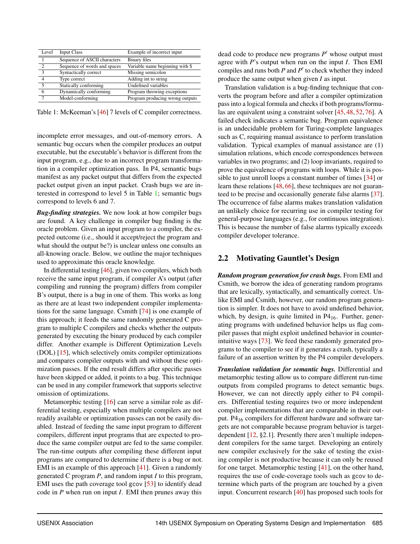<span id="page-3-0"></span>

| Level         | Input Class                  | Example of incorrect input      |
|---------------|------------------------------|---------------------------------|
|               | Sequence of ASCII characters | Binary files                    |
| $\mathcal{D}$ | Sequence of words and spaces | Variable name beginning with \$ |
| $\mathbf{3}$  | Syntactically correct        | Missing semicolon               |
| 4             | Type correct                 | Adding int to string            |
| 5             | Statically conforming        | Undefined variables             |
| 6             | Dynamically conforming       | Program throwing exceptions     |
| 7             | Model-conforming             | Program producing wrong outputs |

Table 1: McKeeman's [\[46\]](#page-16-9) 7 levels of C compiler correctness.

incomplete error messages, and out-of-memory errors. A semantic bug occurs when the compiler produces an output executable, but the executable's behavior is different from the input program, e.g., due to an incorrect program transformation in a compiler optimization pass. In P4, semantic bugs manifest as any packet output that differs from the expected packet output given an input packet. Crash bugs we are interested in correspond to level 5 in Table [1;](#page-3-0) semantic bugs correspond to levels 6 and 7.

*Bug-finding strategies.* We now look at how compiler bugs are found. A key challenge in compiler bug finding is the oracle problem. Given an input program to a compiler, the expected outcome (i.e., should it accept/reject the program and what should the output be?) is unclear unless one consults an all-knowing oracle. Below, we outline the major techniques used to approximate this oracle knowledge.

In differential testing [\[46\]](#page-16-9), given two compilers, which both receive the same input program, if compiler A's output (after compiling and running the program) differs from compiler B's output, there is a bug in one of them. This works as long as there are at least two independent compiler implementations for the same language. Csmith [\[74\]](#page-17-1) is one example of this approach; it feeds the same randomly generated C program to multiple C compilers and checks whether the outputs generated by executing the binary produced by each compiler differ. Another example is Different Optimization Levels (DOL) [\[15\]](#page-15-5), which selectively omits compiler optimizations and compares compiler outputs with and without these optimization passes. If the end result differs after specific passes have been skipped or added, it points to a bug. This technique can be used in any compiler framework that supports selective omission of optimizations.

Metamorphic testing [\[16\]](#page-15-11) can serve a similar role as differential testing, especially when multiple compilers are not readily available or optimization passes can not be easily disabled. Instead of feeding the same input program to different compilers, different input programs that are expected to produce the same compiler output are fed to the same compiler. The run-time outputs after compiling these different input programs are compared to determine if there is a bug or not. EMI is an example of this approach [\[41\]](#page-16-2). Given a randomly generated C program *P*, and random input *I* to this program, EMI uses the path coverage tool gcov [\[53\]](#page-17-5) to identify dead code in *P* when run on input *I*. EMI then prunes away this

dead code to produce new programs  $P'$  whose output must agree with *P*'s output when run on the input *I*. Then EMI compiles and runs both  $P$  and  $P'$  to check whether they indeed produce the same output when given *I* as input.

Translation validation is a bug-finding technique that converts the program before and after a compiler optimization pass into a logical formula and checks if both programs/formulas are equivalent using a constraint solver [\[45,](#page-16-6) [48,](#page-16-4) [52,](#page-16-5) [76\]](#page-17-6). A failed check indicates a semantic bug. Program equivalence is an undecidable problem for Turing-complete languages such as C, requiring manual assistance to perform translation validation. Typical examples of manual assistance are (1) simulation relations, which encode correspondences between variables in two programs; and (2) loop invariants, required to prove the equivalence of programs with loops. While it is possible to just unroll loops a constant number of times [\[34\]](#page-16-8) or learn these relations [\[48,](#page-16-4) [66\]](#page-17-7), these techniques are not guaranteed to be precise and occasionally generate false alarms [\[37\]](#page-16-7). The occurrence of false alarms makes translation validation an unlikely choice for recurring use in compiler testing for general-purpose languages (e.g., for continuous integration). This is because the number of false alarms typically exceeds compiler developer tolerance.

#### 2.2 Motivating Gauntlet's Design

*Random program generation for crash bugs.* From EMI and Csmith, we borrow the idea of generating random programs that are lexically, syntactically, and semantically correct. Unlike EMI and Csmith, however, our random program generation is simpler. It does not have to avoid undefined behavior, which, by design, is quite limited in  $P4_{16}$ . Further, generating programs with undefined behavior helps us flag compiler passes that might exploit undefined behavior in counterintuitive ways [\[73\]](#page-17-8). We feed these randomly generated programs to the compiler to see if it generates a crash, typically a failure of an assertion written by the P4 compiler developers.

*Translation validation for semantic bugs.* Differential and metamorphic testing allow us to compare different run-time outputs from compiled programs to detect semantic bugs. However, we can not directly apply either to P4 compilers. Differential testing requires two or more independent compiler implementations that are comparable in their output. P4<sup>16</sup> compilers for different hardware and software targets are not comparable because program behavior is targetdependent [\[12,](#page-15-9) §2.1]. Presently there aren't multiple independent compilers for the same target. Developing an entirely new compiler exclusively for the sake of testing the existing compiler is not productive because it can only be reused for one target. Metamorphic testing [\[41\]](#page-16-2), on the other hand, requires the use of code-coverage tools such as gcov to determine which parts of the program are touched by a given input. Concurrent research [\[40\]](#page-16-10) has proposed such tools for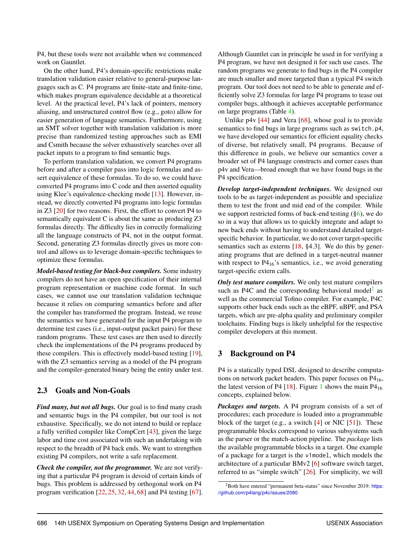P4, but these tools were not available when we commenced work on Gauntlet.

On the other hand, P4's domain-specific restrictions make translation validation easier relative to general-purpose languages such as C. P4 programs are finite-state and finite-time, which makes program equivalence decidable at a theoretical level. At the practical level, P4's lack of pointers, memory aliasing, and unstructured control flow (e.g., goto) allow for easier generation of language semantics. Furthermore, using an SMT solver together with translation validation is more precise than randomized testing approaches such as EMI and Csmith because the solver exhaustively searches over all packet inputs to a program to find semantic bugs.

To perform translation validation, we convert P4 programs before and after a compiler pass into logic formulas and assert equivalence of these formulas. To do so, we could have converted P4 programs into C code and then asserted equality using Klee's equivalence-checking mode [\[13\]](#page-15-8). However, instead, we directly converted P4 programs into logic formulas in Z3 [\[20\]](#page-15-12) for two reasons. First, the effort to convert P4 to semantically equivalent C is about the same as producing Z3 formulas directly. The difficulty lies in correctly formalizing all the language constructs of P4, not in the output format. Second, generating Z3 formulas directly gives us more control and allows us to leverage domain-specific techniques to optimize these formulas.

*Model-based testing for black-box compilers.* Some industry compilers do not have an open specification of their internal program representation or machine code format. In such cases, we cannot use our translation validation technique because it relies on comparing semantics before and after the compiler has transformed the program. Instead, we reuse the semantics we have generated for the input P4 program to determine test cases (i.e., input-output packet pairs) for these random programs. These test cases are then used to directly check the implementations of the P4 programs produced by these compilers. This is effectively model-based testing [\[19\]](#page-15-6), with the Z3 semantics serving as a model of the P4 program and the compiler-generated binary being the entity under test.

#### 2.3 Goals and Non-Goals

*Find many, but not all bugs.* Our goal is to find many crash and semantic bugs in the P4 compiler, but our tool is not exhaustive. Specifically, we do not intend to build or replace a fully verified compiler like CompCert [\[43\]](#page-16-11), given the large labor and time cost associated with such an undertaking with respect to the breadth of P4 back ends. We want to strengthen existing P4 compilers, not write a safe replacement.

*Check the compiler, not the programmer.* We are not verifying that a particular P4 program is devoid of certain kinds of bugs. This problem is addressed by orthogonal work on P4 program verification [\[22,](#page-15-13) [25,](#page-15-14) [32,](#page-16-12) [44,](#page-16-13) [68\]](#page-17-9) and P4 testing [\[67\]](#page-17-10). Although Gauntlet can in principle be used in for verifying a P4 program, we have not designed it for such use cases. The random programs we generate to find bugs in the P4 compiler are much smaller and more targeted than a typical P4 switch program. Our tool does not need to be able to generate and efficiently solve Z3 formulas for large P4 programs to tease out compiler bugs, although it achieves acceptable performance on large programs (Table [4\)](#page-11-0).

Unlike p4v [\[44\]](#page-16-13) and Vera [\[68\]](#page-17-9), whose goal is to provide semantics to find bugs in large programs such as switch.p4, we have developed our semantics for efficient equality checks of diverse, but relatively small, P4 programs. Because of this difference in goals, we believe our semantics cover a broader set of P4 language constructs and corner cases than p4v and Vera—broad enough that we have found bugs in the P4 specification.

*Develop target-independent techniques.* We designed our tools to be as target-independent as possible and specialize them to test the front and mid end of the compiler. While we support restricted forms of back-end testing  $(\S_6)$ , we do so in a way that allows us to quickly integrate and adapt to new back ends without having to understand detailed targetspecific behavior. In particular, we do not cover target-specific semantics such as externs [\[18,](#page-15-7) §4.3]. We do this by generating programs that are defined in a target-neutral manner with respect to  $P4_{16}$ 's semantics, i.e., we avoid generating target-specific extern calls.

*Only test mature compilers.* We only test mature compilers such as P4C and the corresponding behavioral model<sup>[2](#page-4-0)</sup> as well as the commercial Tofino compiler. For example, P4C supports other back ends such as the eBPF, uBPF, and PSA targets, which are pre-alpha quality and preliminary compiler toolchains. Finding bugs is likely unhelpful for the respective compiler developers at this moment.

#### 3 Background on P4

P4 is a statically typed DSL designed to describe computations on network packet headers. This paper focuses on P416, the latest version of P4  $[18]$ . Figure [1](#page-5-1) shows the main P4<sub>16</sub> concepts, explained below.

*Packages and targets.* A P4 program consists of a set of procedures; each procedure is loaded into a programmable block of the target (e.g., a switch  $[4]$  or NIC  $[51]$ ). These programmable blocks correspond to various subsystems such as the parser or the match-action pipeline. The *package* lists the available programmable blocks in a target. One example of a package for a target is the v1model, which models the architecture of a particular BMv2 [\[6\]](#page-15-10) software switch target, referred to as "simple switch" [\[26\]](#page-15-15). For simplicity, we will

<span id="page-4-0"></span> $2$ Both have entered "permanent beta-status" since November 2019: [https:](https://github.com/p4lang/p4c/issues/2080) [//github.com/p4lang/p4c/issues/2080](https://github.com/p4lang/p4c/issues/2080)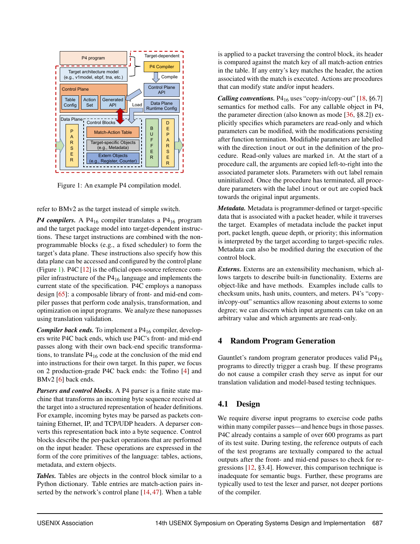<span id="page-5-1"></span>

Figure 1: An example P4 compilation model.

refer to BMv2 as the target instead of simple switch.

*P4 compilers.* A P4<sub>16</sub> compiler translates a P4<sub>16</sub> program and the target package model into target-dependent instructions. These target instructions are combined with the nonprogrammable blocks (e.g., a fixed scheduler) to form the target's data plane. These instructions also specify how this data plane can be accessed and configured by the control plane (Figure [1\)](#page-5-1). P4C [\[12\]](#page-15-9) is the official open-source reference compiler infrastructure of the P4<sup>16</sup> language and implements the current state of the specification. P4C employs a nanopass design [\[65\]](#page-17-11): a composable library of front- and mid-end compiler passes that perform code analysis, transformation, and optimization on input programs. We analyze these nanopasses using translation validation.

*Compiler back ends.* To implement a P4<sub>16</sub> compiler, developers write P4C back ends, which use P4C's front- and mid-end passes along with their own back-end specific transformations, to translate  $P4_{16}$  code at the conclusion of the mid end into instructions for their own target. In this paper, we focus on 2 production-grade P4C back ends: the Tofino [\[4\]](#page-15-0) and BMv2 [\[6\]](#page-15-10) back ends.

*Parsers and control blocks.* A P4 parser is a finite state machine that transforms an incoming byte sequence received at the target into a structured representation of header definitions. For example, incoming bytes may be parsed as packets containing Ethernet, IP, and TCP/UDP headers. A deparser converts this representation back into a byte sequence. Control blocks describe the per-packet operations that are performed on the input header. These operations are expressed in the form of the core primitives of the language: tables, actions, metadata, and extern objects.

*Tables.* Tables are objects in the control block similar to a Python dictionary. Table entries are match-action pairs inserted by the network's control plane [\[14,](#page-15-16) [47\]](#page-16-15). When a table

is applied to a packet traversing the control block, its header is compared against the match key of all match-action entries in the table. If any entry's key matches the header, the action associated with the match is executed. Actions are procedures that can modify state and/or input headers.

*Calling conventions.* P4<sub>16</sub> uses "copy-in/copy-out" [\[18,](#page-15-7) §6.7] semantics for method calls. For any callable object in P4, the parameter direction (also known as mode [\[36,](#page-16-16) §8.2]) explicitly specifies which parameters are read-only and which parameters can be modified, with the modifications persisting after function termination. Modifiable parameters are labelled with the direction inout or out in the definition of the procedure. Read-only values are marked in. At the start of a procedure call, the arguments are copied left-to-right into the associated parameter slots. Parameters with out label remain uninitialized. Once the procedure has terminated, all procedure parameters with the label inout or out are copied back towards the original input arguments.

*Metadata.* Metadata is programmer-defined or target-specific data that is associated with a packet header, while it traverses the target. Examples of metadata include the packet input port, packet length, queue depth, or priority; this information is interpreted by the target according to target-specific rules. Metadata can also be modified during the execution of the control block.

*Externs.* Externs are an extensibility mechanism, which allows targets to describe built-in functionality. Externs are object-like and have methods. Examples include calls to checksum units, hash units, counters, and meters. P4's "copyin/copy-out" semantics allow reasoning about externs to some degree; we can discern which input arguments can take on an arbitrary value and which arguments are read-only.

## <span id="page-5-0"></span>4 Random Program Generation

Gauntlet's random program generator produces valid P4<sup>16</sup> programs to directly trigger a crash bug. If these programs do not cause a compiler crash they serve as input for our translation validation and model-based testing techniques.

## 4.1 Design

We require diverse input programs to exercise code paths within many compiler passes—and hence bugs in those passes. P4C already contains a sample of over 600 programs as part of its test suite. During testing, the reference outputs of each of the test programs are textually compared to the actual outputs after the front- and mid-end passes to check for regressions [\[12,](#page-15-9) §3.4]. However, this comparison technique is inadequate for semantic bugs. Further, these programs are typically used to test the lexer and parser, not deeper portions of the compiler.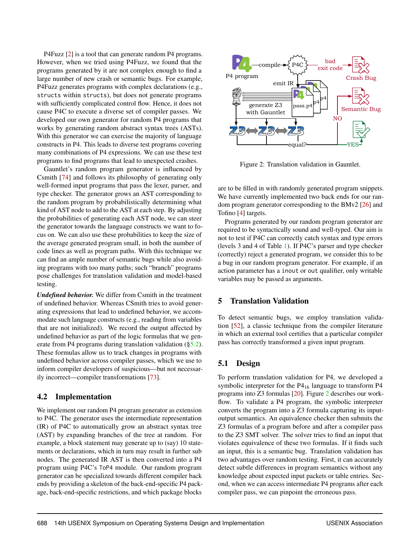P4Fuzz [\[2\]](#page-15-17) is a tool that can generate random P4 programs. However, when we tried using P4Fuzz, we found that the programs generated by it are not complex enough to find a large number of new crash or semantic bugs. For example, P4Fuzz generates programs with complex declarations (e.g., structs within structs), but does not generate programs with sufficiently complicated control flow. Hence, it does not cause P4C to execute a diverse set of compiler passes. We developed our own generator for random P4 programs that works by generating random abstract syntax trees (ASTs). With this generator we can exercise the majority of language constructs in P4. This leads to diverse test programs covering many combinations of P4 expressions. We can use these test programs to find programs that lead to unexpected crashes.

Gauntlet's random program generator is influenced by Csmith [\[74\]](#page-17-1) and follows its philosophy of generating only well-formed input programs that pass the lexer, parser, and type checker. The generator grows an AST corresponding to the random program by probabilistically determining what kind of AST node to add to the AST at each step. By adjusting the probabilities of generating each AST node, we can steer the generator towards the language constructs we want to focus on. We can also use these probabilities to keep the size of the average generated program small, in both the number of code lines as well as program paths. With this technique we can find an ample number of semantic bugs while also avoiding programs with too many paths; such "branch" programs pose challenges for translation validation and model-based testing.

*Undefined behavior.* We differ from Csmith in the treatment of undefined behavior. Whereas CSmith tries to avoid generating expressions that lead to undefined behavior, we accommodate such language constructs (e.g., reading from variables that are not initialized). We record the output affected by undefined behavior as part of the logic formulas that we generate from P4 programs during translation validation ([§5.2\)](#page-7-0). These formulas allow us to track changes in programs with undefined behavior across compiler passes, which we use to inform compiler developers of suspicious—but not necessarily incorrect—compiler transformations [\[73\]](#page-17-8).

#### 4.2 Implementation

We implement our random P4 program generator as extension to P4C. The generator uses the intermediate representation (IR) of P4C to automatically grow an abstract syntax tree (AST) by expanding branches of the tree at random. For example, a block statement may generate up to (say) 10 statements or declarations, which in turn may result in further sub nodes. The generated IR AST is then converted into a P4 program using P4C's ToP4 module. Our random program generator can be specialized towards different compiler back ends by providing a skeleton of the back-end-specific P4 package, back-end-specific restrictions, and which package blocks

<span id="page-6-1"></span>

Figure 2: Translation validation in Gauntlet.

are to be filled in with randomly generated program snippets. We have currently implemented two back ends for our random program generator corresponding to the BMv2 [\[26\]](#page-15-15) and Tofino [\[4\]](#page-15-0) targets.

Programs generated by our random program generator are required to be syntactically sound and well-typed. Our aim is not to test if P4C can correctly catch syntax and type errors (levels 3 and 4 of Table [1\)](#page-3-0). If P4C's parser and type checker (correctly) reject a generated program, we consider this to be a bug in our random program generator. For example, if an action parameter has a inout or out qualifier, only writable variables may be passed as arguments.

#### <span id="page-6-0"></span>5 Translation Validation

To detect semantic bugs, we employ translation validation [\[52\]](#page-16-5), a classic technique from the compiler literature in which an external tool certifies that a particular compiler pass has correctly transformed a given input program.

## 5.1 Design

To perform translation validation for P4, we developed a symbolic interpreter for the  $P4_{16}$  language to transform  $P4$ programs into Z3 formulas [\[20\]](#page-15-12). Figure [2](#page-6-1) describes our workflow. To validate a P4 program, the symbolic interpreter converts the program into a Z3 formula capturing its inputoutput semantics. An equivalence checker then submits the Z3 formulas of a program before and after a compiler pass to the Z3 SMT solver. The solver tries to find an input that violates equivalence of these two formulas. If it finds such an input, this is a semantic bug. Translation validation has two advantages over random testing. First, it can accurately detect subtle differences in program semantics without any knowledge about expected input packets or table entries. Second, when we can access intermediate P4 programs after each compiler pass, we can pinpoint the erroneous pass.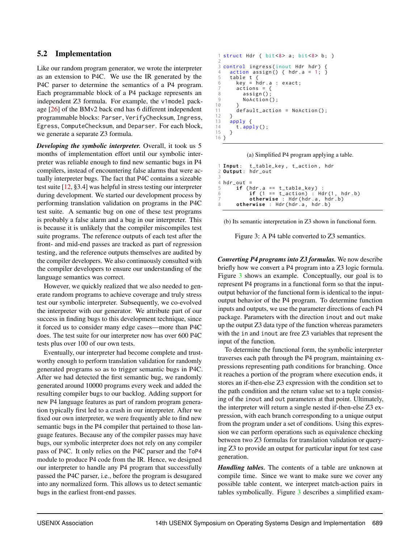#### 5.2 Implementation

Like our random program generator, we wrote the interpreter as an extension to P4C. We use the IR generated by the P4C parser to determine the semantics of a P4 program. Each programmable block of a P4 package represents an independent Z3 formula. For example, the v1model package [\[26\]](#page-15-15) of the BMv2 back end has 6 different independent programmable blocks: Parser, VerifyChecksum, Ingress, Egress, ComputeChecksum, and Deparser. For each block, we generate a separate Z3 formula.

*Developing the symbolic interpreter.* Overall, it took us 5 months of implementation effort until our symbolic interpreter was reliable enough to find new semantic bugs in P4 compilers, instead of encountering false alarms that were actually interpreter bugs. The fact that P4C contains a sizeable test suite [\[12,](#page-15-9) §3.4] was helpful in stress testing our interpreter during development. We started our development process by performing translation validation on programs in the P4C test suite. A semantic bug on one of these test programs is probably a false alarm and a bug in our interpreter. This is because it is unlikely that the compiler miscompiles test suite programs. The reference outputs of each test after the front- and mid-end passes are tracked as part of regression testing, and the reference outputs themselves are audited by the compiler developers. We also continuously consulted with the compiler developers to ensure our understanding of the language semantics was correct.

However, we quickly realized that we also needed to generate random programs to achieve coverage and truly stress test our symbolic interpreter. Subsequently, we co-evolved the interpreter with our generator. We attribute part of our success in finding bugs to this development technique, since it forced us to consider many edge cases—more than P4C does. The test suite for our interpreter now has over 600 P4C tests plus over 100 of our own tests.

Eventually, our interpreter had become complete and trustworthy enough to perform translation validation for randomly generated programs so as to trigger semantic bugs in P4C. After we had detected the first semantic bug, we randomly generated around 10000 programs every week and added the resulting compiler bugs to our backlog. Adding support for new P4 language features as part of random program generation typically first led to a crash in our interpreter. After we fixed our own interpreter, we were frequently able to find new semantic bugs in the P4 compiler that pertained to those language features. Because any of the compiler passes may have bugs, our symbolic interpreter does not rely on any compiler pass of P4C. It only relies on the P4C parser and the ToP4 module to produce P4 code from the IR. Hence, we designed our interpreter to handle any P4 program that successfully passed the P4C parser, i.e., before the program is desugared into any normalized form. This allows us to detect semantic bugs in the earliest front-end passes.

```
1 struct Hdr { bits < 8 a; bits < 8 b; }
 2
 3 control ingress(inout Hdr hdr) {<br>4   action assign() { hdr.a = 1; }
5 table t {<br>6 key = hkey = hat.a : exact;7 actions = {<br>8 assign():
8 assign ()<br>9 NoAction
            NoAction();
10 }
      default\_action = NoAction();12 }
13 apply {<br>14 t.app
      t . apply();
15 }
16 }
```
(a) Simplified P4 program applying a table.

```
1 Input: t_table_key, t_action, hdr<br>2 Output: hdr out
  2 Output : hdr_out
3
4 hdr_out =
5 if (hdr. a == t_table_key)<br>6 if (1 == t action) :
             if (1 == t_action) : Hdr(1, hdr.b)7 otherwise : Hdr (hdr. a, hdr. b)<br>8 otherwise : Hdr (hdr. a, hdr. b)
        otherwise : Hdr (hdr .a, hdr .b)
```
(b) Its semantic interpretation in Z3 shown in functional form.

Figure 3: A P4 table converted to Z3 semantics.

*Converting P4 programs into Z3 formulas.* We now describe briefly how we convert a P4 program into a Z3 logic formula. Figure [3](#page-7-0) shows an example. Conceptually, our goal is to represent P4 programs in a functional form so that the inputoutput behavior of the functional form is identical to the inputoutput behavior of the P4 program. To determine function inputs and outputs, we use the parameter directions of each P4 package. Parameters with the direction inout and out make up the output Z3 data type of the function whereas parameters with the in and inout are free Z3 variables that represent the input of the function.

To determine the functional form, the symbolic interpreter traverses each path through the P4 program, maintaining expressions representing path conditions for branching. Once it reaches a portion of the program where execution ends, it stores an if-then-else Z3 expression with the condition set to the path condition and the return value set to a tuple consisting of the inout and out parameters at that point. Ultimately, the interpreter will return a single nested if-then-else Z3 expression, with each branch corresponding to a unique output from the program under a set of conditions. Using this expression we can perform operations such as equivalence checking between two Z3 formulas for translation validation or querying Z3 to provide an output for particular input for test case generation.

*Handling tables.* The contents of a table are unknown at compile time. Since we want to make sure we cover any possible table content, we interpret match-action pairs in tables symbolically. Figure [3](#page-7-0) describes a simplified exam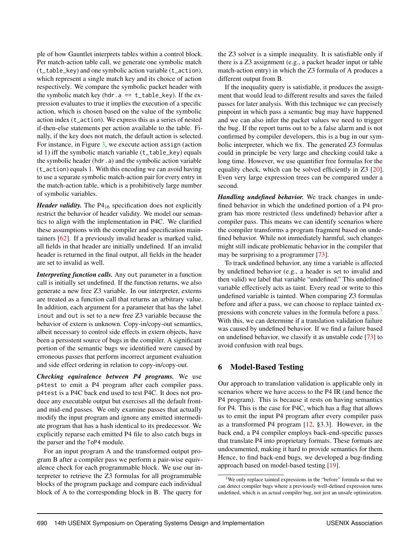ple of how Gauntlet interprets tables within a control block. Per match-action table call, we generate one symbolic match (t\_table\_key) and one symbolic action variable (t\_action), which represent a single match key and its choice of action respectively. We compare the symbolic packet header with the symbolic match key (hdr.a  $== t_table\_key$ ). If the expression evaluates to true it implies the execution of a specific action, which is chosen based on the value of the symbolic action index (t\_action). We express this as a series of nested if-then-else statements per action available to the table. Finally, if the key does not match, the default action is selected. For instance, in Figure [3,](#page-7-0) we execute action assign (action id 1) iff the symbolic match variable (t\_table\_key) equals the symbolic header (hdr.a) and the symbolic action variable (t\_action) equals 1. With this encoding we can avoid having to use a separate symbolic match-action pair for every entry in the match-action table, which is a prohibitively large number of symbolic variables.

*Header validity*. The P4<sub>16</sub> specification does not explicitly restrict the behavior of header validity. We model our semantics to align with the implementation in P4C. We clarified these assumptions with the compiler and specification maintainers [\[62\]](#page-17-12). If a previously invalid header is marked valid, all fields in that header are initially undefined. If an invalid header is returned in the final output, all fields in the header are set to invalid as well.

*Interpreting function calls.* Any out parameter in a function call is initially set undefined. If the function returns, we also generate a new free Z3 variable. In our interpreter, externs are treated as a function call that returns an arbitrary value. In addition, each argument for a parameter that has the label inout and out is set to a new free Z3 variable because the behavior of extern is unknown. Copy-in/copy-out semantics, albeit necessary to control side effects in extern objects, have been a persistent source of bugs in the compiler. A significant portion of the semantic bugs we identified were caused by erroneous passes that perform incorrect argument evaluation and side effect ordering in relation to copy-in/copy-out.

*Checking equivalence between P4 programs.* We use p4test to emit a P4 program after each compiler pass. p4test is a P4C back end used to test P4C. It does not produce any executable output but exercises all the default frontand mid-end passes. We only examine passes that actually modify the input program and ignore any emitted intermediate program that has a hash identical to its predecessor. We explicitly reparse each emitted P4 file to also catch bugs in the parser and the ToP4 module.

For an input program A and the transformed output program B after a compiler pass we perform a pair-wise equivalence check for each programmable block. We use our interpreter to retrieve the Z3 formulas for all programmable blocks of the program package and compare each individual block of A to the corresponding block in B. The query for

the Z3 solver is a simple inequality. It is satisfiable only if there is a Z3 assignment (e.g., a packet header input or table match-action entry) in which the Z3 formula of A produces a different output from B.

If the inequality query is satisfiable, it produces the assignment that would lead to different results and saves the failed passes for later analysis. With this technique we can precisely pinpoint in which pass a semantic bug may have happened and we can also infer the packet values we need to trigger the bug. If the report turns out to be a false alarm and is not confirmed by compiler developers, this is a bug in our symbolic interpreter, which we fix. The generated Z3 formulas could in principle be very large and checking could take a long time. However, we use quantifier free formulas for the equality check, which can be solved efficiently in Z3 [\[20\]](#page-15-12). Even very large expression trees can be compared under a second.

*Handling undefined behavior.* We track changes in undefined behavior in which the undefined portion of a P4 program has more restricted (less undefined) behavior after a compiler pass. This means we can identify scenarios where the compiler transforms a program fragment based on undefined behavior. While not immediately harmful, such changes might still indicate problematic behavior in the compiler that may be surprising to a programmer [\[73\]](#page-17-8).

To track undefined behavior, any time a variable is affected by undefined behavior (e.g., a header is set to invalid and then valid) we label that variable "undefined." This undefined variable effectively acts as taint. Every read or write to this undefined variable is tainted. When comparing Z3 formulas before and after a pass, we can choose to replace tainted ex-pressions with concrete values in the formula before a pass.<sup>[3](#page-8-1)</sup> With this, we can determine if a translation validation failure was caused by undefined behavior. If we find a failure based on undefined behavior, we classify it as unstable code [\[73\]](#page-17-8) to avoid confusion with real bugs.

## <span id="page-8-0"></span>6 Model-Based Testing

Our approach to translation validation is applicable only in scenarios where we have access to the P4 IR (and hence the P4 program). This is because it rests on having semantics for P4. This is the case for P4C, which has a flag that allows us to emit the input P4 program after every compiler pass as a transformed P4 program [\[12,](#page-15-9) §3.3]. However, in the back end, a P4 compiler employs back-end-specific passes that translate P4 into proprietary formats. These formats are undocumented, making it hard to provide semantics for them. Hence, to find back-end bugs, we developed a bug-finding approach based on model-based testing [\[19\]](#page-15-6).

<span id="page-8-1"></span><sup>&</sup>lt;sup>3</sup>We only replace tainted expressions in the "before" formula so that we can detect compiler bugs where a previously well-defined expression turns undefined, which is an actual compiler bug, not just an unsafe optimization.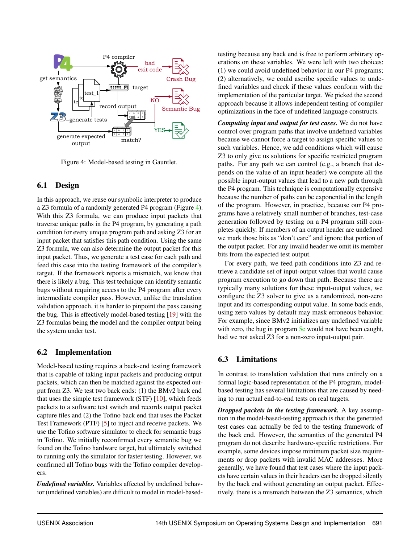<span id="page-9-0"></span>

Figure 4: Model-based testing in Gauntlet.

#### 6.1 Design

In this approach, we reuse our symbolic interpreter to produce a Z3 formula of a randomly generated P4 program (Figure [4\)](#page-9-0). With this Z3 formula, we can produce input packets that traverse unique paths in the P4 program, by generating a path condition for every unique program path and asking Z3 for an input packet that satisfies this path condition. Using the same Z3 formula, we can also determine the output packet for this input packet. Thus, we generate a test case for each path and feed this case into the testing framework of the compiler's target. If the framework reports a mismatch, we know that there is likely a bug. This test technique can identify semantic bugs without requiring access to the P4 program after every intermediate compiler pass. However, unlike the translation validation approach, it is harder to pinpoint the pass causing the bug. This is effectively model-based testing [\[19\]](#page-15-6) with the Z3 formulas being the model and the compiler output being the system under test.

#### 6.2 Implementation

Model-based testing requires a back-end testing framework that is capable of taking input packets and producing output packets, which can then be matched against the expected output from Z3. We test two back ends: (1) the BMv2 back end that uses the simple test framework (STF) [\[10\]](#page-15-18), which feeds packets to a software test switch and records output packet capture files and (2) the Tofino back end that uses the Packet Test Framework (PTF) [\[5\]](#page-15-19) to inject and receive packets. We use the Tofino software simulator to check for semantic bugs in Tofino. We initially reconfirmed every semantic bug we found on the Tofino hardware target, but ultimately switched to running only the simulator for faster testing. However, we confirmed all Tofino bugs with the Tofino compiler developers.

*Undefined variables.* Variables affected by undefined behavior (undefined variables) are difficult to model in model-basedtesting because any back end is free to perform arbitrary operations on these variables. We were left with two choices: (1) we could avoid undefined behavior in our P4 programs; (2) alternatively, we could ascribe specific values to undefined variables and check if these values conform with the implementation of the particular target. We picked the second approach because it allows independent testing of compiler optimizations in the face of undefined language constructs.

*Computing input and output for test cases.* We do not have control over program paths that involve undefined variables because we cannot force a target to assign specific values to such variables. Hence, we add conditions which will cause Z3 to only give us solutions for specific restricted program paths. For any path we can control (e.g., a branch that depends on the value of an input header) we compute all the possible input-output values that lead to a new path through the P4 program. This technique is computationally expensive because the number of paths can be exponential in the length of the program. However, in practice, because our P4 programs have a relatively small number of branches, test-case generation followed by testing on a P4 program still completes quickly. If members of an output header are undefined we mark those bits as "don't care" and ignore that portion of the output packet. For any invalid header we omit its member bits from the expected test output.

For every path, we feed path conditions into Z3 and retrieve a candidate set of input-output values that would cause program execution to go down that path. Because there are typically many solutions for these input-output values, we configure the Z3 solver to give us a randomized, non-zero input and its corresponding output value. In some back ends, using zero values by default may mask erroneous behavior. For example, since BMv2 initializes any undefined variable with zero, the bug in program [5c](#page-11-1) would not have been caught, had we not asked Z3 for a non-zero input-output pair.

#### 6.3 Limitations

In contrast to translation validation that runs entirely on a formal logic-based representation of the P4 program, modelbased testing has several limitations that are caused by needing to run actual end-to-end tests on real targets.

*Dropped packets in the testing framework.* A key assumption in the model-based-testing approach is that the generated test cases can actually be fed to the testing framework of the back end. However, the semantics of the generated P4 program do not describe hardware-specific restrictions. For example, some devices impose minimum packet size requirements or drop packets with invalid MAC addresses. More generally, we have found that test cases where the input packets have certain values in their headers can be dropped silently by the back end without generating an output packet. Effectively, there is a mismatch between the Z3 semantics, which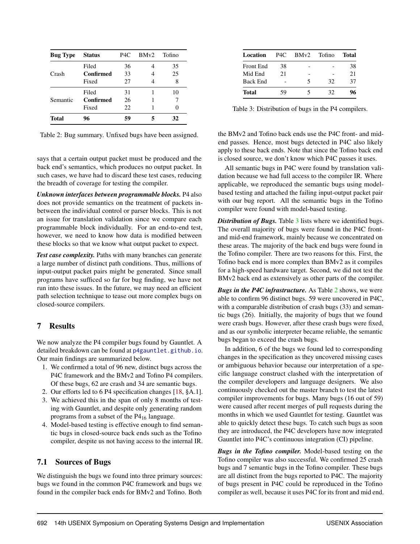<span id="page-10-2"></span>

| <b>Bug Type</b> | <b>Status</b> | P <sub>4</sub> C | BMv2 | Tofino |
|-----------------|---------------|------------------|------|--------|
|                 | Filed         | 36               |      | 35     |
| Crash           | Confirmed     | 33               |      | 25     |
|                 | Fixed         | 27               |      | 8      |
|                 | Filed         | 31               |      | 10     |
| Semantic        | Confirmed     | 26               |      |        |
|                 | Fixed         | 22               |      |        |
| Total           | 96            | 59               |      | 32     |

Table 2: Bug summary. Unfixed bugs have been assigned.

says that a certain output packet must be produced and the back end's semantics, which produces no output packet. In such cases, we have had to discard these test cases, reducing the breadth of coverage for testing the compiler.

*Unknown interfaces between programmable blocks.* P4 also does not provide semantics on the treatment of packets inbetween the individual control or parser blocks. This is not an issue for translation validation since we compare each programmable block individually. For an end-to-end test, however, we need to know how data is modified between these blocks so that we know what output packet to expect.

*Test case complexity.* Paths with many branches can generate a large number of distinct path conditions. Thus, millions of input-output packet pairs might be generated. Since small programs have sufficed so far for bug finding, we have not run into these issues. In the future, we may need an efficient path selection technique to tease out more complex bugs on closed-source compilers.

## <span id="page-10-0"></span>7 Results

We now analyze the P4 compiler bugs found by Gauntlet. A detailed breakdown can be found at [p4gauntlet.github.io](https://p4gauntlet.github.io). Our main findings are summarized below.

- 1. We confirmed a total of 96 new, distinct bugs across the P4C framework and the BMv2 and Tofino P4 compilers. Of these bugs, 62 are crash and 34 are semantic bugs.
- 2. Our efforts led to 6 P4 specification changes [\[18,](#page-15-7) §A.1].
- 3. We achieved this in the span of only 8 months of testing with Gauntlet, and despite only generating random programs from a subset of the P4<sup>16</sup> language.
- 4. Model-based testing is effective enough to find semantic bugs in closed-source back ends such as the Tofino compiler, despite us not having access to the internal IR.

## 7.1 Sources of Bugs

We distinguish the bugs we found into three primary sources: bugs we found in the common P4C framework and bugs we found in the compiler back ends for BMv2 and Tofino. Both

<span id="page-10-1"></span>

| Location         | P <sub>4C</sub> | BMv2 | Tofino | Total |
|------------------|-----------------|------|--------|-------|
| <b>Front End</b> | 38              |      |        | 38    |
| Mid End          | 21              |      |        | 21    |
| <b>Back End</b>  |                 | 5    | 32     | 37    |
| Total            | 59              |      | 32     | 96    |

Table 3: Distribution of bugs in the P4 compilers.

the BMv2 and Tofino back ends use the P4C front- and midend passes. Hence, most bugs detected in P4C also likely apply to these back ends. Note that since the Tofino back end is closed source, we don't know which P4C passes it uses.

All semantic bugs in P4C were found by translation validation because we had full access to the compiler IR. Where applicable, we reproduced the semantic bugs using modelbased testing and attached the failing input-output packet pair with our bug report. All the semantic bugs in the Tofino compiler were found with model-based testing.

*Distribution of Bugs.* Table [3](#page-10-1) lists where we identified bugs. The overall majority of bugs were found in the P4C frontand mid-end framework, mainly because we concentrated on these areas. The majority of the back end bugs were found in the Tofino compiler. There are two reasons for this. First, the Tofino back end is more complex than BMv2 as it compiles for a high-speed hardware target. Second, we did not test the BMv2 back end as extensively as other parts of the compiler.

*Bugs in the P4C infrastructure.* As Table [2](#page-10-2) shows, we were able to confirm 96 distinct bugs. 59 were uncovered in P4C, with a comparable distribution of crash bugs (33) and semantic bugs (26). Initially, the majority of bugs that we found were crash bugs. However, after these crash bugs were fixed, and as our symbolic interpreter became reliable, the semantic bugs began to exceed the crash bugs.

In addition, 6 of the bugs we found led to corresponding changes in the specification as they uncovered missing cases or ambiguous behavior because our interpretation of a specific language construct clashed with the interpretation of the compiler developers and language designers. We also continuously checked out the master branch to test the latest compiler improvements for bugs. Many bugs (16 out of 59) were caused after recent merges of pull requests during the months in which we used Gauntlet for testing. Gauntlet was able to quickly detect these bugs. To catch such bugs as soon they are introduced, the P4C developers have now integrated Gauntlet into P4C's continuous integration (CI) pipeline.

*Bugs in the Tofino compiler.* Model-based testing on the Tofino compiler was also successful. We confirmed 25 crash bugs and 7 semantic bugs in the Tofino compiler. These bugs are all distinct from the bugs reported to P4C. The majority of bugs present in P4C could be reproduced in the Tofino compiler as well, because it uses P4C for its front and mid end.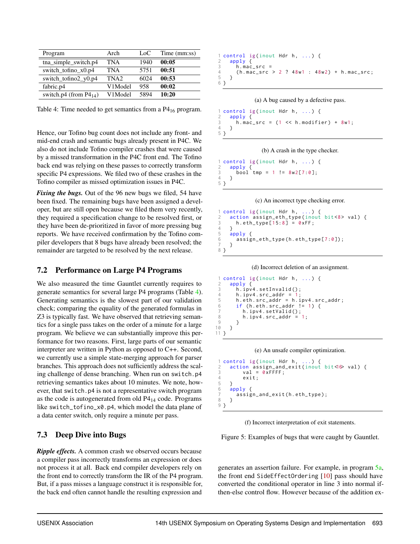<span id="page-11-0"></span>

| Program                     | Arch             | LoC  | Time (mm:ss) |
|-----------------------------|------------------|------|--------------|
| tna simple switch.p4        | TNA              | 1940 | 00:05        |
| switch to find $x0.p4$      | TNA              | 5751 | 00:51        |
| switch_tofino2_y0.p4        | TNA <sub>2</sub> | 6024 | 00:53        |
| fabric.p4                   | V1Model          | 958  | 00:02        |
| switch.p4 (from $P4_{14}$ ) | V1Model          | 5894 | 10:20        |

Table 4: Time needed to get semantics from a  $P4_{16}$  program.

Hence, our Tofino bug count does not include any front- and mid-end crash and semantic bugs already present in P4C. We also do not include Tofino compiler crashes that were caused by a missed transformation in the P4C front end. The Tofino back end was relying on these passes to correctly transform specific P4 expressions. We filed two of these crashes in the Tofino compiler as missed optimization issues in P4C.

*Fixing the bugs.* Out of the 96 new bugs we filed, 54 have been fixed. The remaining bugs have been assigned a developer, but are still open because we filed them very recently, they required a specification change to be resolved first, or they have been de-prioritized in favor of more pressing bug reports. We have received confirmation by the Tofino compiler developers that 8 bugs have already been resolved; the remainder are targeted to be resolved by the next release.

#### 7.2 Performance on Large P4 Programs

We also measured the time Gauntlet currently requires to generate semantics for several large P4 programs (Table [4\)](#page-11-0). Generating semantics is the slowest part of our validation check; comparing the equality of the generated formulas in Z3 is typically fast. We have observed that retrieving semantics for a single pass takes on the order of a minute for a large program. We believe we can substantially improve this performance for two reasons. First, large parts of our semantic interpreter are written in Python as opposed to C++. Second, we currently use a simple state-merging approach for parser branches. This approach does not sufficiently address the scaling challenge of dense branching. When run on switch.p4 retrieving semantics takes about 10 minutes. We note, however, that switch.p4 is not a representative switch program as the code is autogenerated from old  $P4_{14}$  code. Programs like switch\_tofino\_x0.p4, which model the data plane of a data center switch, only require a minute per pass.

#### 7.3 Deep Dive into Bugs

*Ripple effects.* A common crash we observed occurs because a compiler pass incorrectly transforms an expression or does not process it at all. Back end compiler developers rely on the front end to correctly transform the IR of the P4 program. But, if a pass misses a language construct it is responsible for, the back end often cannot handle the resulting expression and

```
\begin{bmatrix} 1 & \text{control} & \text{ig}(\text{inout Hdr h}, \ldots) \\ 2 & \text{apply} & \text{f} \end{bmatrix}\frac{2}{3} apply {
3 h.mac_src =<br>4 (h mac_src
4 (h.mac_src > 2 ? 48w1 : 48w2) + h.mac_src;
       5 }
6 }
```
#### (a) A bug caused by a defective pass.

```
control ig(inout Hdr h, ...) {
\frac{2}{3} apply {
3 h . mac_src = (1 << h . modifier ) + 8w1;
    \overline{\phantom{a}}5 }
```
#### (b) A crash in the type checker.

```
1 control ig(inout Hdr h, ...) {<br>2 apply {
2 apply {
3 bool tmp = 1 != 8w2[7:0];
4 }
5 }
```
#### (c) An incorrect type checking error.

```
control ig( inout Hdr h, ...) {
2 action assign_eth_type(inout bit <8> val) {<br>3 h.eth_type[15:8] = 0xFF;
\begin{array}{cc} 3 \\ 4 \end{array} h.eth_type [15:8] = 0xFF;
\begin{matrix} 4 & 3 \\ 5 & a \end{matrix}\begin{bmatrix} 5 & \text{apply} \\ 6 & \text{assign} \end{bmatrix}6 assign_eth_type(h.eth_type[7:0]);
      7 }
8 }
```
(d) Incorrect deletion of an assignment.

```
1 control ig(inout Hdr h, ...) {
 \frac{2}{3} apply {
          h. ipv4. setInvalid();
 4 h . ipv4 . src_addr = 1;
5 h . eth . src_addr = h . ipv4 . src_addr ;
 6 if (h.\text{eth.src}\_\text{addr} != 1) {<br>7 h.inv4.setValid():
7 h. ipv4. setValid();<br>8 h inv4 src addr =
\begin{array}{cc} 8 \\ 9 \end{array} h.ipv4.src_addr
      9 }
10 }
11 }
```
#### (e) An unsafe compiler optimization.

```
1 control ig(inout Hdr h, ...) {
2 action assign_and_exit(inout bit<16> val) {<br>3 val = 0xFFFF;
\begin{array}{cc} 4 & \text{exit}; \\ 5 & \text{} \end{array}5 }
6 apply \left\{ \right.7 assign_and_exit(h.eth_type);
     8 }
9 }
```
(f) Incorrect interpretation of exit statements.

Figure 5: Examples of bugs that were caught by Gauntlet.

generates an assertion failure. For example, in program [5a,](#page-11-1) the front end SideEffectOrdering [\[10\]](#page-15-18) pass should have converted the conditional operator in line 3 into normal ifthen-else control flow. However because of the addition ex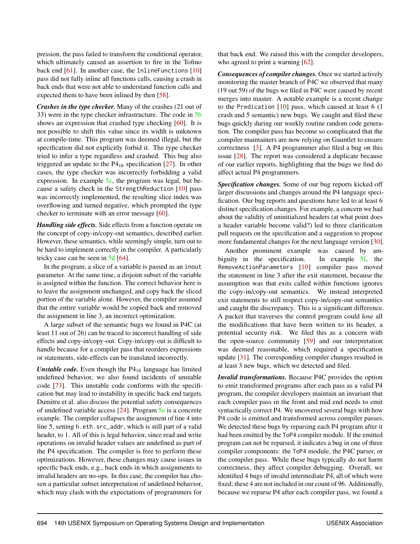pression, the pass failed to transform the conditional operator, which ultimately caused an assertion to fire in the Tofino back end [\[61\]](#page-17-13). In another case, the InlineFunctions [\[10\]](#page-15-18) pass did not fully inline all functions calls, causing a crash in back ends that were not able to understand function calls and expected them to have been inlined by then [\[58\]](#page-17-14).

*Crashes in the type checker.* Many of the crashes (21 out of 33) were in the type checker infrastructure. The code in [5b](#page-11-1) shows an expression that crashed type checking [\[60\]](#page-17-15). It is not possible to shift this value since its width is unknown at compile-time. This program was deemed illegal, but the specification did not explicitly forbid it. The type checker tried to infer a type regardless and crashed. This bug also triggered an update to the  $P4_{16}$  specification [\[27\]](#page-15-20). In other cases, the type checker was incorrectly forbidding a valid expression. In example  $5c$ , the program was legal, but because a safety check in the StrengthReduction [\[10\]](#page-15-18) pass was incorrectly implemented, the resulting slice index was overflowing and turned negative, which prompted the type checker to terminate with an error message [\[60\]](#page-17-15).

*Handling side effects.* Side effects from a function operate on the concept of copy-in/copy-out semantics, described earlier. However, these semantics, while seemingly simple, turn out to be hard to implement correctly in the compiler. A particularly tricky case can be seen in [5d](#page-11-1) [\[64\]](#page-17-16).

In the program, a slice of a variable is passed as an inout parameter. At the same time, a disjoint subset of the variable is assigned within the function. The correct behavior here is to leave the assignment unchanged, and copy back the sliced portion of the variable alone. However, the compiler assumed that the entire variable would be copied back and removed the assignment in line 3, an incorrect optimization.

A large subset of the semantic bugs we found in P4C (at least 11 out of 26) can be traced to incorrect handling of side effects and copy-in/copy-out. Copy-in/copy-out is difficult to handle because for a compiler pass that reorders expressions or statements, side-effects can be translated incorrectly.

*Unstable code*. Even though the P4<sub>16</sub> language has limited undefined behavior, we also found incidents of unstable code [\[73\]](#page-17-8). This unstable code conforms with the specification but may lead to instability in specific back end targets. Dumitru et al. also discuss the potential safety consequences of undefined variable access [\[24\]](#page-15-21). Program [5e](#page-11-1) is a concrete example. The compiler collapses the assignment of line 4 into line 5, setting h.eth.src\_addr, which is still part of a valid header, to 1. All of this is legal behavior, since read and write operations on invalid header values are undefined as part of the P4 specification. The compiler is free to perform these optimizations. However, these changes may cause issues in specific back ends, e.g., back ends in which assignments to invalid headers are no-ops. In this case, the compiler has chosen a particular subset interpretation of undefined behavior, which may clash with the expectations of programmers for

that back end. We raised this with the compiler developers, who agreed to print a warning [\[62\]](#page-17-12).

*Consequences of compiler changes.* Once we started actively monitoring the master branch of P4C we observed that many (19 out 59) of the bugs we filed in P4C were caused by recent merges into master. A notable example is a recent change to the Predication  $[10]$  pass, which caused at least 6 (1) crash and 5 semantic) new bugs. We caught and filed these bugs quickly during our weekly routine random code generation. The compiler pass has become so complicated that the compiler maintainers are now relying on Gauntlet to ensure correctness [\[3\]](#page-15-22). A P4 programmer also filed a bug on this issue [\[28\]](#page-16-17). The report was considered a duplicate because of our earlier reports, highlighting that the bugs we find do affect actual P4 programmers.

*Specification changes.* Some of our bug reports kicked off larger discussions and changes around the P4 language specification. Our bug reports and questions have led to at least 6 distinct specification changes. For example, a concern we had about the validity of uninitialized headers (at what point does a header variable become valid?) led to three clarification pull requests on the specification and a suggestion to propose more fundamental changes for the next language version [\[30\]](#page-16-18).

Another prominent example was caused by ambiguity in the specification. In example [5f,](#page-11-1) the RemoveActionParameters [\[10\]](#page-15-18) compiler pass moved the statement in line 3 after the exit statement, because the assumption was that exits called within functions ignores the copy-in/copy-out semantics. We instead interpreted exit statements to still respect copy-in/copy-out semantics and caught the discrepancy. This is a significant difference. A packet that traverses the control program could lose all the modifications that have been written to its header, a potential security risk. We filed this as a concern with the open-source community [\[59\]](#page-17-17) and our interpretation was deemed reasonable, which required a specification update [\[31\]](#page-16-19). The corresponding compiler changes resulted in at least 3 new bugs, which we detected and filed.

*Invalid transformations.* Because P4C provides the option to emit transformed programs after each pass as a valid P4 program, the compiler developers maintain an invariant that each compiler pass in the front and mid end needs to emit syntactically correct P4. We uncovered several bugs with how P4 code is emitted and transformed across compiler passes. We detected these bugs by reparsing each P4 program after it had been emitted by the ToP4 compiler module. If the emitted program can not be reparsed, it indicates a bug in one of three compiler components: the ToP4 module, the P4C parser, or the compiler pass. While these bugs typically do not harm correctness, they affect compiler debugging. Overall, we identified 4 bugs of invalid intermediate P4, all of which were fixed; these 4 are not included in our count of 96. Additionally, because we reparse P4 after each compiler pass, we found a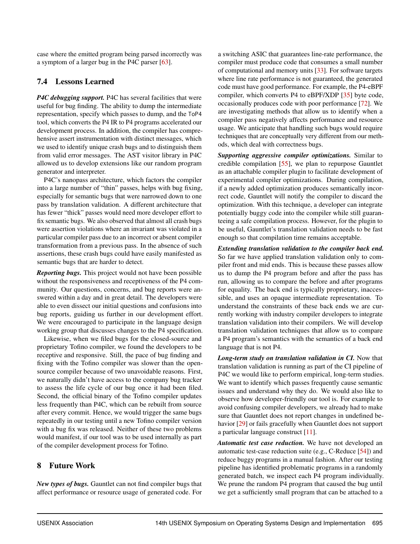case where the emitted program being parsed incorrectly was a symptom of a larger bug in the P4C parser [\[63\]](#page-17-18).

#### <span id="page-13-1"></span>7.4 Lessons Learned

*P4C debugging support.* P4C has several facilities that were useful for bug finding. The ability to dump the intermediate representation, specify which passes to dump, and the ToP4 tool, which converts the P4 IR to P4 programs accelerated our development process. In addition, the compiler has comprehensive assert instrumentation with distinct messages, which we used to identify unique crash bugs and to distinguish them from valid error messages. The AST visitor library in P4C allowed us to develop extensions like our random program generator and interpreter.

P4C's nanopass architecture, which factors the compiler into a large number of "thin" passes, helps with bug fixing, especially for semantic bugs that were narrowed down to one pass by translation validation. A different architecture that has fewer "thick" passes would need more developer effort to fix semantic bugs. We also observed that almost all crash bugs were assertion violations where an invariant was violated in a particular compiler pass due to an incorrect or absent compiler transformation from a previous pass. In the absence of such assertions, these crash bugs could have easily manifested as semantic bugs that are harder to detect.

*Reporting bugs.* This project would not have been possible without the responsiveness and receptiveness of the P4 community. Our questions, concerns, and bug reports were answered within a day and in great detail. The developers were able to even dissect our initial questions and confusions into bug reports, guiding us further in our development effort. We were encouraged to participate in the language design working group that discusses changes to the P4 specification.

Likewise, when we filed bugs for the closed-source and proprietary Tofino compiler, we found the developers to be receptive and responsive. Still, the pace of bug finding and fixing with the Tofino compiler was slower than the opensource compiler because of two unavoidable reasons. First, we naturally didn't have access to the company bug tracker to assess the life cycle of our bug once it had been filed. Second, the official binary of the Tofino compiler updates less frequently than P4C, which can be rebuilt from source after every commit. Hence, we would trigger the same bugs repeatedly in our testing until a new Tofino compiler version with a bug fix was released. Neither of these two problems would manifest, if our tool was to be used internally as part of the compiler development process for Tofino.

## <span id="page-13-0"></span>8 Future Work

*New types of bugs.* Gauntlet can not find compiler bugs that affect performance or resource usage of generated code. For

a switching ASIC that guarantees line-rate performance, the compiler must produce code that consumes a small number of computational and memory units [\[33\]](#page-16-20). For software targets where line rate performance is not guaranteed, the generated code must have good performance. For example, the P4-eBPF compiler, which converts P4 to eBPF/XDP [\[35\]](#page-16-21) byte code, occasionally produces code with poor performance [\[72\]](#page-17-19). We are investigating methods that allow us to identify when a compiler pass negatively affects performance and resource usage. We anticipate that handling such bugs would require techniques that are conceptually very different from our methods, which deal with correctness bugs.

*Supporting aggressive compiler optimizations.* Similar to credible compilation [\[55\]](#page-17-20), we plan to repurpose Gauntlet as an attachable compiler plugin to facilitate development of experimental compiler optimizations. During compilation, if a newly added optimization produces semantically incorrect code, Gauntlet will notify the compiler to discard the optimization. With this technique, a developer can integrate potentially buggy code into the compiler while still guaranteeing a safe compilation process. However, for the plugin to be useful, Gauntlet's translation validation needs to be fast enough so that compilation time remains acceptable.

*Extending translation validation to the compiler back end.* So far we have applied translation validation only to compiler front and mid ends. This is because these passes allow us to dump the P4 program before and after the pass has run, allowing us to compare the before and after programs for equality. The back end is typically proprietary, inaccessible, and uses an opaque intermediate representation. To understand the constraints of these back ends we are currently working with industry compiler developers to integrate translation validation into their compilers. We will develop translation validation techniques that allow us to compare a P4 program's semantics with the semantics of a back end language that is not P4.

*Long-term study on translation validation in CI.* Now that translation validation is running as part of the CI pipeline of P4C we would like to perform empirical, long-term studies. We want to identify which passes frequently cause semantic issues and understand why they do. We would also like to observe how developer-friendly our tool is. For example to avoid confusing compiler developers, we already had to make sure that Gauntlet does not report changes in undefined be-havior [\[29\]](#page-16-22) or fails gracefully when Gauntlet does not support a particular language construct [\[11\]](#page-15-23).

*Automatic test case reduction.* We have not developed an automatic test-case reduction suite (e.g., C-Reduce [\[54\]](#page-17-21)) and reduce buggy programs in a manual fashion. After our testing pipeline has identified problematic programs in a randomly generated batch, we inspect each P4 program individually. We prune the random P4 program that caused the bug until we get a sufficiently small program that can be attached to a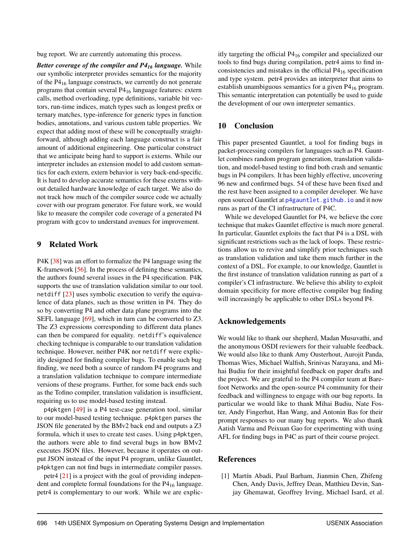bug report. We are currently automating this process.

*Better coverage of the compiler and P4<sup>16</sup> language.* While our symbolic interpreter provides semantics for the majority of the P4<sup>16</sup> language constructs, we currently do not generate programs that contain several P4<sup>16</sup> language features: extern calls, method overloading, type definitions, variable bit vectors, run-time indices, match types such as longest prefix or ternary matches, type-inference for generic types in function bodies, annotations, and various custom table properties. We expect that adding most of these will be conceptually straightforward, although adding each language construct is a fair amount of additional engineering. One particular construct that we anticipate being hard to support is externs. While our interpreter includes an extension model to add custom semantics for each extern, extern behavior is very back-end-specific. It is hard to develop accurate semantics for these externs without detailed hardware knowledge of each target. We also do not track how much of the compiler source code we actually cover with our program generator. For future work, we would like to measure the compiler code coverage of a generated P4 program with gcov to understand avenues for improvement.

#### 9 Related Work

P4K [\[38\]](#page-16-23) was an effort to formalize the P4 language using the K-framework [\[56\]](#page-17-22). In the process of defining these semantics, the authors found several issues in the P4 specification. P4K supports the use of translation validation similar to our tool. netdiff [\[23\]](#page-15-24) uses symbolic execution to verify the equivalence of data planes, such as those written in P4. They do so by converting P4 and other data plane programs into the SEFL language [\[69\]](#page-17-23), which in turn can be converted to Z3. The Z3 expressions corresponding to different data planes can then be compared for equality. netdiff's equivalence checking technique is comparable to our translation validation technique. However, neither P4K nor netdiff were explicitly designed for finding compiler bugs. To enable such bug finding, we need both a source of random P4 programs and a translation validation technique to compare intermediate versions of these programs. Further, for some back ends such as the Tofino compiler, translation validation is insufficient, requiring us to use model-based testing instead.

p4pktgen [\[49\]](#page-16-24) is a P4 test-case generation tool, similar to our model-based testing technique. p4pktgen parses the JSON file generated by the BMv2 back end and outputs a Z3 formula, which it uses to create test cases. Using p4pktgen, the authors were able to find several bugs in how BMv2 executes JSON files. However, because it operates on output JSON instead of the input P4 program, unlike Gauntlet, p4pktgen can not find bugs in intermediate compiler passes.

petr4 [\[21\]](#page-15-25) is a project with the goal of providing independent and complete formal foundations for the P4<sub>16</sub> language. petr4 is complementary to our work. While we are explicitly targeting the official P4<sup>16</sup> compiler and specialized our tools to find bugs during compilation, petr4 aims to find inconsistencies and mistakes in the official  $P4_{16}$  specification and type system. petr4 provides an interpreter that aims to establish unambiguous semantics for a given  $P4_{16}$  program. This semantic interpretation can potentially be used to guide the development of our own interpreter semantics.

#### 10 Conclusion

This paper presented Gauntlet, a tool for finding bugs in packet-processing compilers for languages such as P4. Gauntlet combines random program generation, translation validation, and model-based testing to find both crash and semantic bugs in P4 compilers. It has been highly effective, uncovering 96 new and confirmed bugs. 54 of these have been fixed and the rest have been assigned to a compiler developer. We have open sourced Gauntlet at [p4gauntlet.github.io](https://p4gauntlet.github.io) and it now runs as part of the CI infrastructure of P4C.

While we developed Gauntlet for P4, we believe the core technique that makes Gauntlet effective is much more general. In particular, Gauntlet exploits the fact that P4 is a DSL with significant restrictions such as the lack of loops. These restrictions allow us to revive and simplify prior techniques such as translation validation and take them much further in the context of a DSL. For example, to our knowledge, Gauntlet is the first instance of translation validation running as part of a compiler's CI infrastructure. We believe this ability to exploit domain specificity for more effective compiler bug finding will increasingly be applicable to other DSLs beyond P4.

#### Acknowledgements

We would like to thank our shepherd, Madan Musuvathi, and the anonymous OSDI reviewers for their valuable feedback. We would also like to thank Amy Ousterhout, Aurojit Panda, Thomas Wies, Michael Walfish, Srinivas Narayana, and Mihai Budiu for their insightful feedback on paper drafts and the project. We are grateful to the P4 compiler team at Barefoot Networks and the open-source P4 community for their feedback and willingness to engage with our bug reports. In particular we would like to thank Mihai Budiu, Nate Foster, Andy Fingerhut, Han Wang, and Antonin Bas for their prompt responses to our many bug reports. We also thank Aatish Varma and Peixuan Gao for experimenting with using AFL for finding bugs in P4C as part of their course project.

#### References

<span id="page-14-0"></span>[1] Martín Abadi, Paul Barham, Jianmin Chen, Zhifeng Chen, Andy Davis, Jeffrey Dean, Matthieu Devin, Sanjay Ghemawat, Geoffrey Irving, Michael Isard, et al.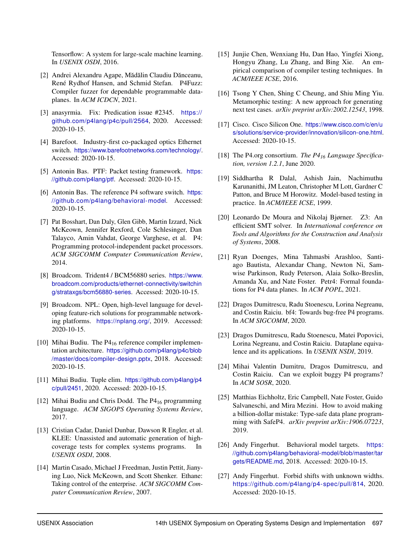Tensorflow: A system for large-scale machine learning. In *USENIX OSDI*, 2016.

- <span id="page-15-17"></span>[2] Andrei Alexandru Agape, Mădălin Claudiu Dănceanu, René Rydhof Hansen, and Schmid Stefan. P4Fuzz: Compiler fuzzer for dependable programmable dataplanes. In *ACM ICDCN*, 2021.
- <span id="page-15-22"></span>[3] anasyrmia. Fix: Predication issue #2345. [https://](https://github.com/p4lang/p4c/pull/2564) [github.com/p4lang/p4c/pull/2564](https://github.com/p4lang/p4c/pull/2564), 2020. Accessed: 2020-10-15.
- <span id="page-15-0"></span>[4] Barefoot. Industry-first co-packaged optics Ethernet switch. <https://www.barefootnetworks.com/technology/>. Accessed: 2020-10-15.
- <span id="page-15-19"></span>[5] Antonin Bas. PTF: Packet testing framework. [https:](https://github.com/p4lang/ptf) [//github.com/p4lang/ptf](https://github.com/p4lang/ptf). Accessed: 2020-10-15.
- <span id="page-15-10"></span>[6] Antonin Bas. The reference P4 software switch. [https:](https://github.com/p4lang/behavioral-model) [//github.com/p4lang/behavioral-model](https://github.com/p4lang/behavioral-model). Accessed: 2020-10-15.
- <span id="page-15-4"></span>[7] Pat Bosshart, Dan Daly, Glen Gibb, Martin Izzard, Nick McKeown, Jennifer Rexford, Cole Schlesinger, Dan Talayco, Amin Vahdat, George Varghese, et al. P4: Programming protocol-independent packet processors. *ACM SIGCOMM Computer Communication Review*, 2014.
- <span id="page-15-1"></span>[8] Broadcom. Trident4 / BCM56880 series. [https://www.](https://www.broadcom.com/products/ethernet-connectivity/switching/strataxgs/bcm56880-series) [broadcom.com/products/ethernet-connectivity/switchin](https://www.broadcom.com/products/ethernet-connectivity/switching/strataxgs/bcm56880-series) [g/strataxgs/bcm56880-series](https://www.broadcom.com/products/ethernet-connectivity/switching/strataxgs/bcm56880-series). Accessed: 2020-10-15.
- <span id="page-15-3"></span>[9] Broadcom. NPL: Open, high-level language for developing feature-rich solutions for programmable networking platforms. <https://nplang.org/>, 2019. Accessed: 2020-10-15.
- <span id="page-15-18"></span>[10] Mihai Budiu. The  $P4_{16}$  reference compiler implementation architecture. [https://github.com/p4lang/p4c/blob](https://github.com/p4lang/p4c/blob/master/docs/compiler-design.pptx) [/master/docs/compiler-design.pptx](https://github.com/p4lang/p4c/blob/master/docs/compiler-design.pptx), 2018. Accessed: 2020-10-15.
- <span id="page-15-23"></span>[11] Mihai Budiu. Tuple elim. [https://github.com/p4lang/p4](https://github.com/p4lang/p4c/pull/2451) [c/pull/2451](https://github.com/p4lang/p4c/pull/2451), 2020. Accessed: 2020-10-15.
- <span id="page-15-9"></span>[12] Mihai Budiu and Chris Dodd. The P4<sub>16</sub> programming language. *ACM SIGOPS Operating Systems Review*, 2017.
- <span id="page-15-8"></span>[13] Cristian Cadar, Daniel Dunbar, Dawson R Engler, et al. KLEE: Unassisted and automatic generation of highcoverage tests for complex systems programs. In *USENIX OSDI*, 2008.
- <span id="page-15-16"></span>[14] Martin Casado, Michael J Freedman, Justin Pettit, Jianying Luo, Nick McKeown, and Scott Shenker. Ethane: Taking control of the enterprise. *ACM SIGCOMM Computer Communication Review*, 2007.
- <span id="page-15-5"></span>[15] Junjie Chen, Wenxiang Hu, Dan Hao, Yingfei Xiong, Hongyu Zhang, Lu Zhang, and Bing Xie. An empirical comparison of compiler testing techniques. In *ACM/IEEE ICSE*, 2016.
- <span id="page-15-11"></span>[16] Tsong Y Chen, Shing C Cheung, and Shiu Ming Yiu. Metamorphic testing: A new approach for generating next test cases. *arXiv preprint arXiv:2002.12543*, 1998.
- <span id="page-15-2"></span>[17] Cisco. Cisco Silicon One. [https://www.cisco.com/c/en/u](https://www.cisco.com/c/en/us/solutions/service-provider/innovation/silicon-one.html) [s/solutions/service-provider/innovation/silicon-one.html](https://www.cisco.com/c/en/us/solutions/service-provider/innovation/silicon-one.html). Accessed: 2020-10-15.
- <span id="page-15-7"></span>[18] The P4.org consortium. *The P4<sup>16</sup> Language Specification, version 1.2.1*, June 2020.
- <span id="page-15-6"></span>[19] Siddhartha R Dalal, Ashish Jain, Nachimuthu Karunanithi, JM Leaton, Christopher M Lott, Gardner C Patton, and Bruce M Horowitz. Model-based testing in practice. In *ACM/IEEE ICSE*, 1999.
- <span id="page-15-12"></span>[20] Leonardo De Moura and Nikolaj Bjørner. Z3: An efficient SMT solver. In *International conference on Tools and Algorithms for the Construction and Analysis of Systems*, 2008.
- <span id="page-15-25"></span>[21] Ryan Doenges, Mina Tahmasbi Arashloo, Santiago Bautista, Alexandar Chang, Newton Ni, Samwise Parkinson, Rudy Peterson, Alaia Solko-Breslin, Amanda Xu, and Nate Foster. Petr4: Formal foundations for P4 data planes. In *ACM POPL*, 2021.
- <span id="page-15-13"></span>[22] Dragos Dumitrescu, Radu Stoenescu, Lorina Negreanu, and Costin Raiciu. bf4: Towards bug-free P4 programs. In *ACM SIGCOMM*, 2020.
- <span id="page-15-24"></span>[23] Dragos Dumitrescu, Radu Stoenescu, Matei Popovici, Lorina Negreanu, and Costin Raiciu. Dataplane equivalence and its applications. In *USENIX NSDI*, 2019.
- <span id="page-15-21"></span>[24] Mihai Valentin Dumitru, Dragos Dumitrescu, and Costin Raiciu. Can we exploit buggy P4 programs? In *ACM SOSR*, 2020.
- <span id="page-15-14"></span>[25] Matthias Eichholtz, Eric Campbell, Nate Foster, Guido Salvaneschi, and Mira Mezini. How to avoid making a billion-dollar mistake: Type-safe data plane programming with SafeP4. *arXiv preprint arXiv:1906.07223*, 2019.
- <span id="page-15-15"></span>[26] Andy Fingerhut. Behavioral model targets. [https:](https://github.com/p4lang/behavioral-model/blob/master/targets/README.md) [//github.com/p4lang/behavioral-model/blob/master/tar](https://github.com/p4lang/behavioral-model/blob/master/targets/README.md) [gets/README.md](https://github.com/p4lang/behavioral-model/blob/master/targets/README.md), 2018. Accessed: 2020-10-15.
- <span id="page-15-20"></span>[27] Andy Fingerhut. Forbid shifts with unknown widths. [https://github.com/p4lang/p4- spec/pull/814](https://github.com/p4lang/p4-spec/pull/814), 2020. Accessed: 2020-10-15.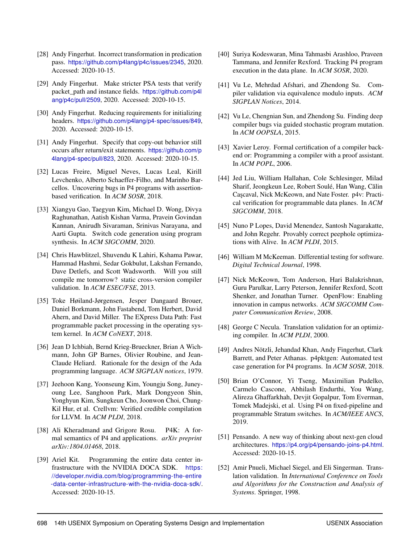- <span id="page-16-17"></span>[28] Andy Fingerhut. Incorrect transformation in predication pass. <https://github.com/p4lang/p4c/issues/2345>, 2020. Accessed: 2020-10-15.
- <span id="page-16-22"></span>[29] Andy Fingerhut. Make stricter PSA tests that verify packet\_path and instance fields. [https://github.com/p4l](https://github.com/p4lang/p4c/pull/2509) [ang/p4c/pull/2509](https://github.com/p4lang/p4c/pull/2509), 2020. Accessed: 2020-10-15.
- <span id="page-16-18"></span>[30] Andy Fingerhut. Reducing requirements for initializing headers. <https://github.com/p4lang/p4-spec/issues/849>, 2020. Accessed: 2020-10-15.
- <span id="page-16-19"></span>[31] Andy Fingerhut. Specify that copy-out behavior still occurs after return/exit statements. [https://github.com/p](https://github.com/p4lang/p4-spec/pull/823) [4lang/p4-spec/pull/823](https://github.com/p4lang/p4-spec/pull/823), 2020. Accessed: 2020-10-15.
- <span id="page-16-12"></span>[32] Lucas Freire, Miguel Neves, Lucas Leal, Kirill Levchenko, Alberto Schaeffer-Filho, and Marinho Barcellos. Uncovering bugs in P4 programs with assertionbased verification. In *ACM SOSR*, 2018.
- <span id="page-16-20"></span>[33] Xiangyu Gao, Taegyun Kim, Michael D. Wong, Divya Raghunathan, Aatish Kishan Varma, Pravein Govindan Kannan, Anirudh Sivaraman, Srinivas Narayana, and Aarti Gupta. Switch code generation using program synthesis. In *ACM SIGCOMM*, 2020.
- <span id="page-16-8"></span>[34] Chris Hawblitzel, Shuvendu K Lahiri, Kshama Pawar, Hammad Hashmi, Sedar Gokbulut, Lakshan Fernando, Dave Detlefs, and Scott Wadsworth. Will you still compile me tomorrow? static cross-version compiler validation. In *ACM ESEC/FSE*, 2013.
- <span id="page-16-21"></span>[35] Toke Høiland-Jørgensen, Jesper Dangaard Brouer, Daniel Borkmann, John Fastabend, Tom Herbert, David Ahern, and David Miller. The EXpress Data Path: Fast programmable packet processing in the operating system kernel. In *ACM CoNEXT*, 2018.
- <span id="page-16-16"></span>[36] Jean D Ichbiah, Bernd Krieg-Brueckner, Brian A Wichmann, John GP Barnes, Olivier Roubine, and Jean-Claude Heliard. Rationale for the design of the Ada programming language. *ACM SIGPLAN notices*, 1979.
- <span id="page-16-7"></span>[37] Jeehoon Kang, Yoonseung Kim, Youngju Song, Juneyoung Lee, Sanghoon Park, Mark Dongyeon Shin, Yonghyun Kim, Sungkeun Cho, Joonwon Choi, Chung-Kil Hur, et al. Crellvm: Verified credible compilation for LLVM. In *ACM PLDI*, 2018.
- <span id="page-16-23"></span>[38] Ali Kheradmand and Grigore Rosu. P4K: A formal semantics of P4 and applications. *arXiv preprint arXiv:1804.01468*, 2018.
- <span id="page-16-0"></span>[39] Ariel Kit. Programming the entire data center infrastructure with the NVIDIA DOCA SDK. [https:](https://developer.nvidia.com/blog/programming-the-entire-data-center-infrastructure-with-the-nvidia-doca-sdk/) [//developer.nvidia.com/blog/programming-the-entire](https://developer.nvidia.com/blog/programming-the-entire-data-center-infrastructure-with-the-nvidia-doca-sdk/) [-data-center-infrastructure-with-the-nvidia-doca-sdk/](https://developer.nvidia.com/blog/programming-the-entire-data-center-infrastructure-with-the-nvidia-doca-sdk/). Accessed: 2020-10-15.
- <span id="page-16-10"></span>[40] Suriya Kodeswaran, Mina Tahmasbi Arashloo, Praveen Tammana, and Jennifer Rexford. Tracking P4 program execution in the data plane. In *ACM SOSR*, 2020.
- <span id="page-16-2"></span>[41] Vu Le, Mehrdad Afshari, and Zhendong Su. Compiler validation via equivalence modulo inputs. *ACM SIGPLAN Notices*, 2014.
- <span id="page-16-3"></span>[42] Vu Le, Chengnian Sun, and Zhendong Su. Finding deep compiler bugs via guided stochastic program mutation. In *ACM OOPSLA*, 2015.
- <span id="page-16-11"></span>[43] Xavier Leroy. Formal certification of a compiler backend or: Programming a compiler with a proof assistant. In *ACM POPL*, 2006.
- <span id="page-16-13"></span>[44] Jed Liu, William Hallahan, Cole Schlesinger, Milad Sharif, Jeongkeun Lee, Robert Soulé, Han Wang, Călin Cascaval, Nick McKeown, and Nate Foster. p4v: Practical verification for programmable data planes. In *ACM SIGCOMM*, 2018.
- <span id="page-16-6"></span>[45] Nuno P Lopes, David Menendez, Santosh Nagarakatte, and John Regehr. Provably correct peephole optimizations with Alive. In *ACM PLDI*, 2015.
- <span id="page-16-9"></span>[46] William M McKeeman. Differential testing for software. *Digital Technical Journal*, 1998.
- <span id="page-16-15"></span>[47] Nick McKeown, Tom Anderson, Hari Balakrishnan, Guru Parulkar, Larry Peterson, Jennifer Rexford, Scott Shenker, and Jonathan Turner. OpenFlow: Enabling innovation in campus networks. *ACM SIGCOMM Computer Communication Review*, 2008.
- <span id="page-16-4"></span>[48] George C Necula. Translation validation for an optimizing compiler. In *ACM PLDI*, 2000.
- <span id="page-16-24"></span>[49] Andres Nötzli, Jehandad Khan, Andy Fingerhut, Clark Barrett, and Peter Athanas. p4pktgen: Automated test case generation for P4 programs. In *ACM SOSR*, 2018.
- <span id="page-16-1"></span>[50] Brian O'Connor, Yi Tseng, Maximilian Pudelko, Carmelo Cascone, Abhilash Endurthi, You Wang, Alireza Ghaffarkhah, Devjit Gopalpur, Tom Everman, Tomek Madejski, et al. Using P4 on fixed-pipeline and programmable Stratum switches. In *ACM/IEEE ANCS*, 2019.
- <span id="page-16-14"></span>[51] Pensando. A new way of thinking about next-gen cloud architectures. <https://p4.org/p4/pensando-joins-p4.html>. Accessed: 2020-10-15.
- <span id="page-16-5"></span>[52] Amir Pnueli, Michael Siegel, and Eli Singerman. Translation validation. In *International Conference on Tools and Algorithms for the Construction and Analysis of Systems*. Springer, 1998.